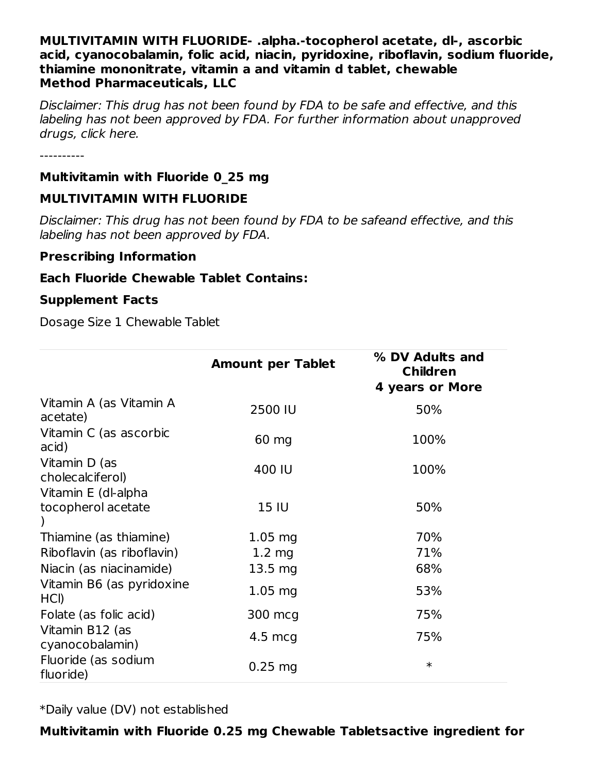#### **MULTIVITAMIN WITH FLUORIDE- .alpha.-tocopherol acetate, dl-, ascorbic acid, cyanocobalamin, folic acid, niacin, pyridoxine, riboflavin, sodium fluoride, thiamine mononitrate, vitamin a and vitamin d tablet, chewable Method Pharmaceuticals, LLC**

Disclaimer: This drug has not been found by FDA to be safe and effective, and this labeling has not been approved by FDA. For further information about unapproved drugs, click here.

----------

#### **Multivitamin with Fluoride 0\_25 mg**

#### **MULTIVITAMIN WITH FLUORIDE**

Disclaimer: This drug has not been found by FDA to be safeand effective, and this labeling has not been approved by FDA.

#### **Prescribing Information**

#### **Each Fluoride Chewable Tablet Contains:**

#### **Supplement Facts**

Dosage Size 1 Chewable Tablet

|                                           | <b>Amount per Tablet</b> | % DV Adults and<br><b>Children</b><br><b>4 years or More</b> |
|-------------------------------------------|--------------------------|--------------------------------------------------------------|
| Vitamin A (as Vitamin A<br>acetate)       | 2500 IU                  | 50%                                                          |
| Vitamin C (as ascorbic<br>acid)           | 60 mg                    | 100%                                                         |
| Vitamin D (as<br>cholecalciferol)         | 400 IU                   | 100%                                                         |
| Vitamin E (dl-alpha<br>tocopherol acetate | 15 IU                    | 50%                                                          |
| Thiamine (as thiamine)                    | $1.05$ mg                | 70%                                                          |
| Riboflavin (as riboflavin)                | $1.2 \, mg$              | 71%                                                          |
| Niacin (as niacinamide)                   | $13.5 \text{ mg}$        | 68%                                                          |
| Vitamin B6 (as pyridoxine<br>HCI)         | $1.05$ mg                | 53%                                                          |
| Folate (as folic acid)                    | 300 mcg                  | 75%                                                          |
| Vitamin B12 (as<br>cyanocobalamin)        | $4.5 \text{ mcg}$        | 75%                                                          |
| Fluoride (as sodium<br>fluoride)          | $0.25$ mg                | $\ast$                                                       |

\*Daily value (DV) not established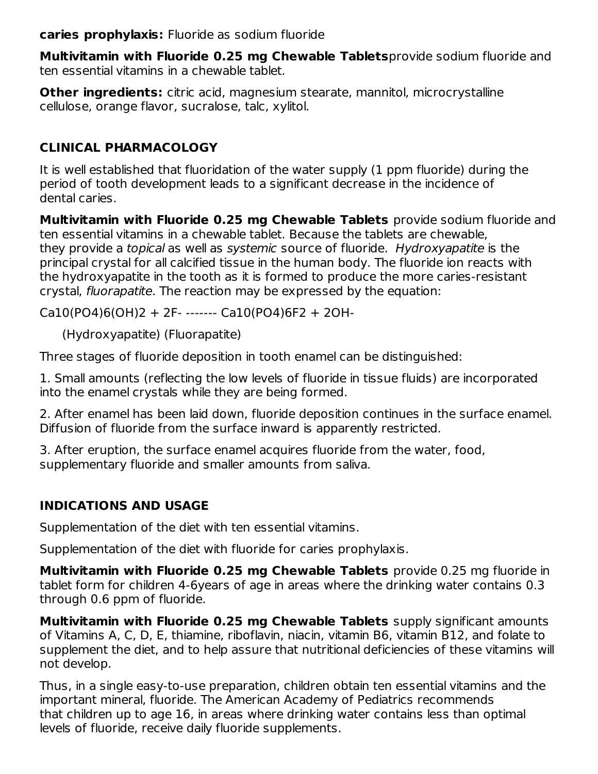**caries prophylaxis:** Fluoride as sodium fluoride

**Multivitamin with Fluoride 0.25 mg Chewable Tablets**provide sodium fluoride and ten essential vitamins in a chewable tablet.

**Other ingredients:** citric acid, magnesium stearate, mannitol, microcrystalline cellulose, orange flavor, sucralose, talc, xylitol.

## **CLINICAL PHARMACOLOGY**

It is well established that fluoridation of the water supply (1 ppm fluoride) during the period of tooth development leads to a significant decrease in the incidence of dental caries.

**Multivitamin with Fluoride 0.25 mg Chewable Tablets** provide sodium fluoride and ten essential vitamins in a chewable tablet. Because the tablets are chewable, they provide a topical as well as systemic source of fluoride. Hydroxyapatite is the principal crystal for all calcified tissue in the human body. The fluoride ion reacts with the hydroxyapatite in the tooth as it is formed to produce the more caries-resistant crystal, fluorapatite. The reaction may be expressed by the equation:

 $Ca10(PO4)6(OH)2 + 2F-$  -------  $Ca10(PO4)6F2 + 2OH-$ 

(Hydroxyapatite) (Fluorapatite)

Three stages of fluoride deposition in tooth enamel can be distinguished:

1. Small amounts (reflecting the low levels of fluoride in tissue fluids) are incorporated into the enamel crystals while they are being formed.

2. After enamel has been laid down, fluoride deposition continues in the surface enamel. Diffusion of fluoride from the surface inward is apparently restricted.

3. After eruption, the surface enamel acquires fluoride from the water, food, supplementary fluoride and smaller amounts from saliva.

# **INDICATIONS AND USAGE**

Supplementation of the diet with ten essential vitamins.

Supplementation of the diet with fluoride for caries prophylaxis.

**Multivitamin with Fluoride 0.25 mg Chewable Tablets** provide 0.25 mg fluoride in tablet form for children 4-6years of age in areas where the drinking water contains 0.3 through 0.6 ppm of fluoride.

**Multivitamin with Fluoride 0.25 mg Chewable Tablets** supply significant amounts of Vitamins A, C, D, E, thiamine, riboflavin, niacin, vitamin B6, vitamin B12, and folate to supplement the diet, and to help assure that nutritional deficiencies of these vitamins will not develop.

Thus, in a single easy-to-use preparation, children obtain ten essential vitamins and the important mineral, fluoride. The American Academy of Pediatrics recommends that children up to age 16, in areas where drinking water contains less than optimal levels of fluoride, receive daily fluoride supplements.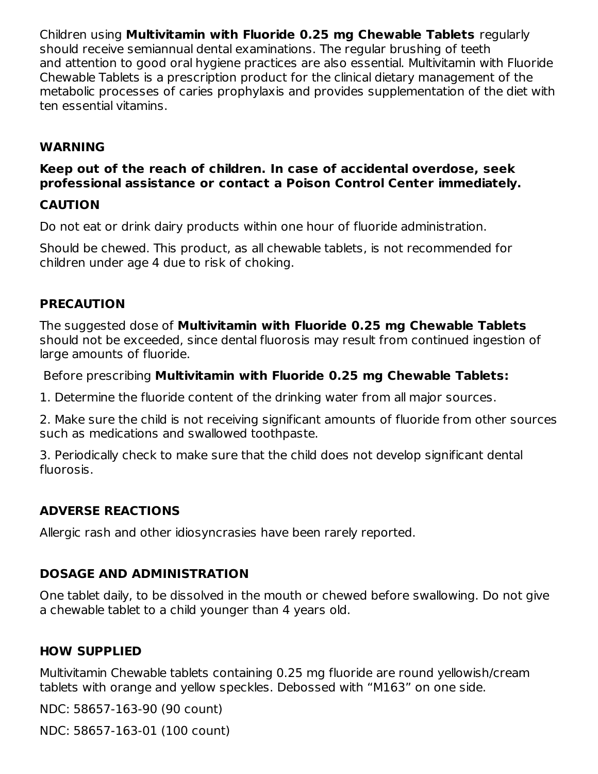Children using **Multivitamin with Fluoride 0.25 mg Chewable Tablets** regularly should receive semiannual dental examinations. The regular brushing of teeth and attention to good oral hygiene practices are also essential. Multivitamin with Fluoride Chewable Tablets is a prescription product for the clinical dietary management of the metabolic processes of caries prophylaxis and provides supplementation of the diet with ten essential vitamins.

## **WARNING**

## **Keep out of the reach of children. In case of accidental overdose, seek professional assistance or contact a Poison Control Center immediately.**

### **CAUTION**

Do not eat or drink dairy products within one hour of fluoride administration.

Should be chewed. This product, as all chewable tablets, is not recommended for children under age 4 due to risk of choking.

#### **PRECAUTION**

The suggested dose of **Multivitamin with Fluoride 0.25 mg Chewable Tablets** should not be exceeded, since dental fluorosis may result from continued ingestion of large amounts of fluoride.

Before prescribing **Multivitamin with Fluoride 0.25 mg Chewable Tablets:**

1. Determine the fluoride content of the drinking water from all major sources.

2. Make sure the child is not receiving significant amounts of fluoride from other sources such as medications and swallowed toothpaste.

3. Periodically check to make sure that the child does not develop significant dental fluorosis.

## **ADVERSE REACTIONS**

Allergic rash and other idiosyncrasies have been rarely reported.

# **DOSAGE AND ADMINISTRATION**

One tablet daily, to be dissolved in the mouth or chewed before swallowing. Do not give a chewable tablet to a child younger than 4 years old.

# **HOW SUPPLIED**

Multivitamin Chewable tablets containing 0.25 mg fluoride are round yellowish/cream tablets with orange and yellow speckles. Debossed with "M163" on one side.

NDC: 58657-163-90 (90 count)

NDC: 58657-163-01 (100 count)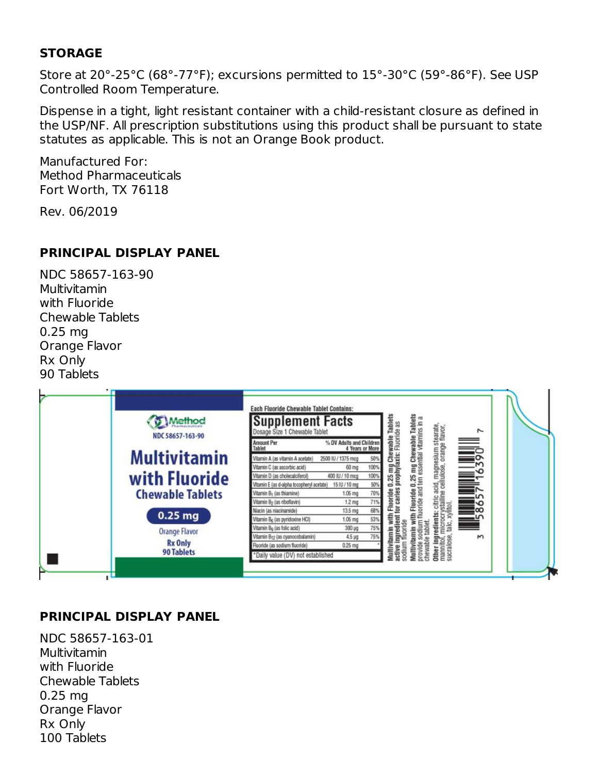### **STORAGE**

Store at 20°-25°C (68°-77°F); excursions permitted to 15°-30°C (59°-86°F). See USP Controlled Room Temperature.

Dispense in a tight, light resistant container with a child-resistant closure as defined in the USP/NF. All prescription substitutions using this product shall be pursuant to state statutes as applicable. This is not an Orange Book product.

Manufactured For: Method Pharmaceuticals Fort Worth, TX 76118

Rev. 06/2019

#### **PRINCIPAL DISPLAY PANEL**

NDC 58657-163-90 Multivitamin with Fluoride Chewable Tablets 0.25 mg Orange Flavor Rx Only 90 Tablets



## **PRINCIPAL DISPLAY PANEL**

NDC 58657-163-01 Multivitamin with Fluoride Chewable Tablets 0.25 mg Orange Flavor Rx Only 100 Tablets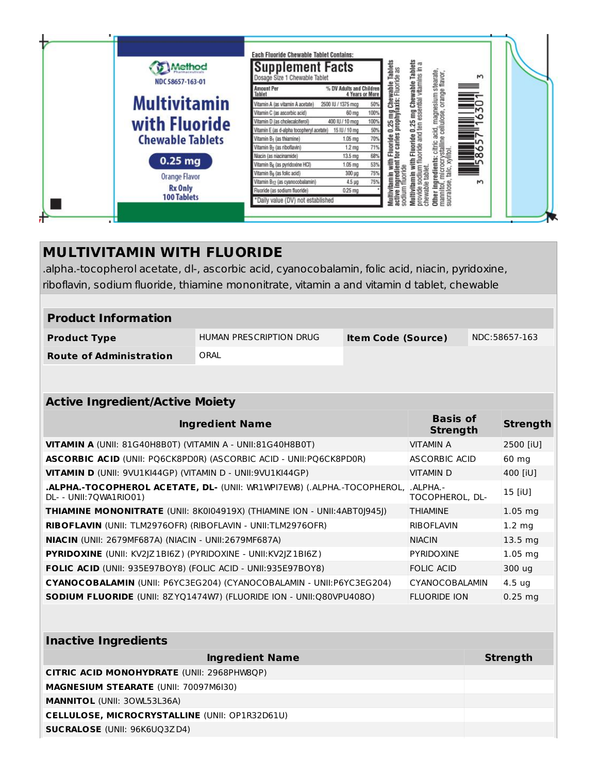|    | <b>Aethod</b><br>NDC 58657-163-01 | <b>Each Fluoride Chewable Tablet Contains:</b><br><b>Supplement Facts</b><br>Dosage Size 1 Chewable Tablet |                                             |      | 0.25 mg Chewable Tablets<br>prophylaxis: Fluoride as | Tablets<br>amin with Fluoride 0.25 mg Chewabie Tablets<br>sodium fluoride and ten essential vitamins in a | Other ingredients: citric acid, magnesium stearate,<br>mannitol, microcrystalline cellulose, orange flavor,<br>sucralose, talc, xylitol. | $\mathsf{M}$ |  |
|----|-----------------------------------|------------------------------------------------------------------------------------------------------------|---------------------------------------------|------|------------------------------------------------------|-----------------------------------------------------------------------------------------------------------|------------------------------------------------------------------------------------------------------------------------------------------|--------------|--|
|    |                                   | <b>Amount Per</b><br>Tablet                                                                                | % DV Adults and Children<br>4 Years or More |      |                                                      |                                                                                                           |                                                                                                                                          |              |  |
|    | <b>Multivitamin</b>               | Vitamin A (as vitamin A acetate)                                                                           | 2500 IU / 1375 mcg                          | 50%  |                                                      |                                                                                                           |                                                                                                                                          |              |  |
|    |                                   | Vitamin C (as ascorbic acid)                                                                               | 60 mg                                       | 100% |                                                      |                                                                                                           |                                                                                                                                          |              |  |
|    | with Fluoride                     | Vitamin D (as cholecalciferol)                                                                             | 400 IU / 10 mcg                             | 100% |                                                      |                                                                                                           |                                                                                                                                          |              |  |
|    |                                   | Vitamin E (as d-alpha tocopheryl acetate)                                                                  | 15 IU / 10 mg                               | 50%  | 6                                                    |                                                                                                           |                                                                                                                                          |              |  |
|    | <b>Chewable Tablets</b>           | Vitamin B <sub>1</sub> (as thiamine)                                                                       | $1.06$ mg                                   | 70%  | for caries<br>Fluoride                               |                                                                                                           |                                                                                                                                          |              |  |
|    |                                   | Vitamin B <sub>2</sub> (as riboflavin)                                                                     | 1.2 <sub>mg</sub>                           | 71%  |                                                      |                                                                                                           |                                                                                                                                          |              |  |
|    | $0.25$ mg                         | Niacin (as niacinamide)                                                                                    | 13.5 mg                                     | 68%  |                                                      |                                                                                                           |                                                                                                                                          |              |  |
|    |                                   | Vitamin B <sub>6</sub> (as pyridoxine HCl)                                                                 | $1.06$ mg                                   | 53%  | with<br>edient                                       |                                                                                                           |                                                                                                                                          |              |  |
|    | <b>Orange Flavor</b>              | Vitamin B <sub>9</sub> (as folic acid)                                                                     | 300 µg                                      | 75%  |                                                      |                                                                                                           |                                                                                                                                          |              |  |
|    |                                   | Vitamin B <sub>12</sub> (as cyanocobalamin)                                                                | $4.5 \mu g$                                 | 75%  | İ                                                    |                                                                                                           |                                                                                                                                          | <sub>N</sub> |  |
|    | <b>Rx Only</b>                    | Fluoride (as sodium fluoride)                                                                              | 0.25 mg                                     |      |                                                      |                                                                                                           |                                                                                                                                          |              |  |
|    | <b>100 Tablets</b>                | *Daily value (DV) not established                                                                          |                                             |      | sodium fluoride<br>Multivitamin<br>active            | chewable tablet<br>Multivitamin<br>provide                                                                |                                                                                                                                          |              |  |
|    |                                   |                                                                                                            |                                             |      |                                                      |                                                                                                           |                                                                                                                                          |              |  |
| Æ, |                                   |                                                                                                            |                                             |      |                                                      |                                                                                                           |                                                                                                                                          |              |  |

# **MULTIVITAMIN WITH FLUORIDE**

.alpha.-tocopherol acetate, dl-, ascorbic acid, cyanocobalamin, folic acid, niacin, pyridoxine, riboflavin, sodium fluoride, thiamine mononitrate, vitamin a and vitamin d tablet, chewable

| <b>Product Information</b>     |                                                      |  |               |  |  |  |
|--------------------------------|------------------------------------------------------|--|---------------|--|--|--|
| <b>Product Type</b>            | HUMAN PRESCRIPTION DRUG<br><b>Item Code (Source)</b> |  | NDC:58657-163 |  |  |  |
| <b>Route of Administration</b> | ORAL                                                 |  |               |  |  |  |

| <b>Active Ingredient/Active Moiety</b>                                                                   |                                    |                    |  |  |
|----------------------------------------------------------------------------------------------------------|------------------------------------|--------------------|--|--|
| <b>Ingredient Name</b>                                                                                   | <b>Basis of</b><br><b>Strength</b> | <b>Strength</b>    |  |  |
| <b>VITAMIN A (UNII: 81G40H8B0T) (VITAMIN A - UNII:81G40H8B0T)</b>                                        | <b>VITAMIN A</b>                   | 2500 [iU]          |  |  |
| <b>ASCORBIC ACID (UNII: PO6CK8PDOR) (ASCORBIC ACID - UNII: PO6CK8PDOR)</b>                               | ASCORBIC ACID                      | 60 mg              |  |  |
| VITAMIN D (UNII: 9VU1KI44GP) (VITAMIN D - UNII: 9VU1KI44GP)                                              | <b>VITAMIND</b>                    | 400 [iU]           |  |  |
| <b>.ALPHA.-TOCOPHEROL ACETATE, DL- (UNII: WR1WPI7EW8) (.ALPHA.-TOCOPHEROL,</b><br>DL- - UNII:70WA1RIO01) | . AI PHA.-<br>TOCOPHEROL, DL-      | 15 [iU]            |  |  |
| THIAMINE MONONITRATE (UNII: 8K0I04919X) (THIAMINE ION - UNII:4ABT0J945J)                                 | <b>THIAMINE</b>                    | $1.05$ mg          |  |  |
| <b>RIBOFLAVIN</b> (UNII: TLM2976OFR) (RIBOFLAVIN - UNII:TLM2976OFR)                                      | <b>RIBOFLAVIN</b>                  | $1.2 \text{ mg}$   |  |  |
| <b>NIACIN</b> (UNII: 2679MF687A) (NIACIN - UNII:2679MF687A)                                              | <b>NIACIN</b>                      | 13.5 <sub>mq</sub> |  |  |
| <b>PYRIDOXINE</b> (UNII: KV2JZ1BI6Z) (PYRIDOXINE - UNII: KV2JZ1BI6Z)                                     | <b>PYRIDOXINE</b>                  | $1.05$ mg          |  |  |
| <b>FOLIC ACID (UNII: 935E97BOY8) (FOLIC ACID - UNII:935E97BOY8)</b>                                      | <b>FOLIC ACID</b>                  | 300 ug             |  |  |
| CYANOCOBALAMIN (UNII: P6YC3EG204) (CYANOCOBALAMIN - UNII:P6YC3EG204)                                     | CYANOCOBALAMIN                     | 4.5 <sub>uq</sub>  |  |  |
| <b>SODIUM FLUORIDE</b> (UNII: 8ZYQ1474W7) (FLUORIDE ION - UNII:Q80VPU408O)                               | <b>FLUORIDE ION</b>                | $0.25$ mg          |  |  |

| <b>Inactive Ingredients</b>                           |                 |  |  |  |
|-------------------------------------------------------|-----------------|--|--|--|
| <b>Ingredient Name</b>                                | <b>Strength</b> |  |  |  |
| <b>CITRIC ACID MONOHYDRATE (UNII: 2968PHW8QP)</b>     |                 |  |  |  |
| <b>MAGNESIUM STEARATE (UNII: 70097M6I30)</b>          |                 |  |  |  |
| <b>MANNITOL (UNII: 30WL53L36A)</b>                    |                 |  |  |  |
| <b>CELLULOSE, MICROCRYSTALLINE (UNII: OP1R32D61U)</b> |                 |  |  |  |
| <b>SUCRALOSE</b> (UNII: 96K6UQ3ZD4)                   |                 |  |  |  |